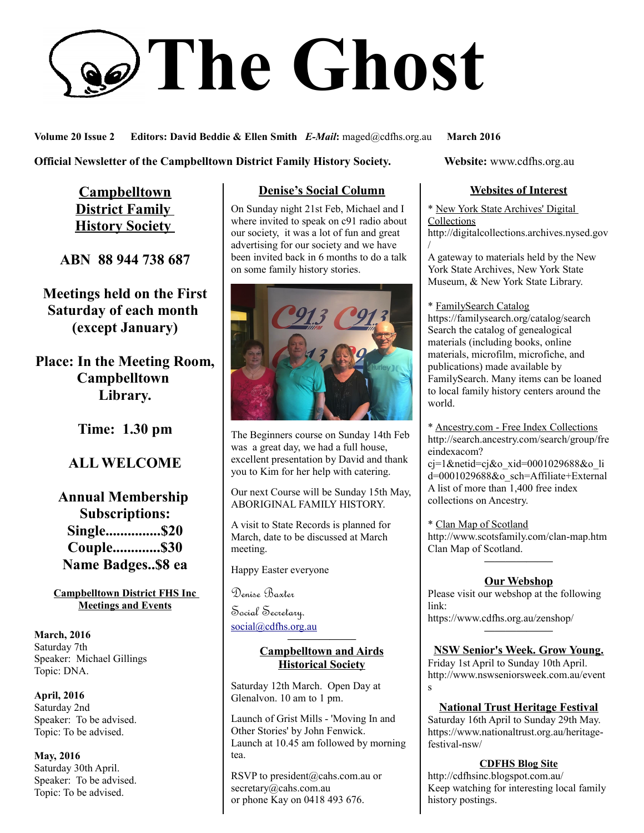# **The Ghost**

**Volume 20 Issue 2 Editors: David Beddie & Ellen Smith** *E-Mail***:** maged@cdfhs.org.au **March 2016**

**Official Newsletter of the Campbelltown District Family History Society. Website: www.cdfhs.org.au** 

**Campbelltown District Family History Society** 

**ABN 88 944 738 687**

**Meetings held on the First Saturday of each month (except January)**

**Place: In the Meeting Room, Campbelltown Library.**

**Time: 1.30 pm**

# **ALL WELCOME**

**Annual Membership Subscriptions: Single...............\$20 Couple.............\$30 Name Badges..\$8 ea**

**Campbelltown District FHS Inc Meetings and Events**

**March, 2016** Saturday 7th Speaker: Michael Gillings Topic: DNA.

**April, 2016** Saturday 2nd Speaker: To be advised. Topic: To be advised.

**May, 2016** Saturday 30th April. Speaker: To be advised. Topic: To be advised.

# **Denise's Social Column**

On Sunday night 21st Feb, Michael and I where invited to speak on c91 radio about our society, it was a lot of fun and great advertising for our society and we have been invited back in 6 months to do a talk on some family history stories.



The Beginners course on Sunday 14th Feb was a great day, we had a full house, excellent presentation by David and thank you to Kim for her help with catering.

Our next Course will be Sunday 15th May, ABORIGINAL FAMILY HISTORY.

A visit to State Records is planned for March, date to be discussed at March meeting.

Happy Easter everyone

Denise Baxter

Social Secretary. [social@cdfhs.org.au](mailto:social@cdfhs.org.au)

#### **——————– Campbelltown and Airds Historical Society**

Saturday 12th March. Open Day at Glenalvon. 10 am to 1 pm.

Launch of Grist Mills - 'Moving In and Other Stories' by John Fenwick. Launch at 10.45 am followed by morning tea.

RSVP to president@cahs.com.au or secretary@cahs.com.au or phone Kay on 0418 493 676.

## **Websites of Interest**

\* New York State Archives' Digital **Collections** http://digitalcollections.archives.nysed.gov /

A gateway to materials held by the New York State Archives, New York State Museum, & New York State Library.

\* FamilySearch Catalog https://familysearch.org/catalog/search Search the catalog of genealogical materials (including books, online materials, microfilm, microfiche, and publications) made available by FamilySearch. Many items can be loaned to local family history centers around the world.

\* Ancestry.com - Free Index Collections http://search.ancestry.com/search/group/fre eindexacom?

cj=1&netid=cj&o\_xid=0001029688&o\_li d=0001029688&o\_sch=Affiliate+External A list of more than  $1,400$  free index collections on Ancestry.

\* Clan Map of Scotland http://www.scotsfamily.com/clan-map.htm Clan Map of Scotland. **——————–**

## **Our Webshop**

Please visit our webshop at the following link:

https://www.cdfhs.org.au/zenshop/ **——————–**

#### **NSW Senior's Week. Grow Young.**

Friday 1st April to Sunday 10th April. http://www.nswseniorsweek.com.au/event s

## **National Trust Heritage Festival**

Saturday 16th April to Sunday 29th May. https://www.nationaltrust.org.au/heritagefestival-nsw/

#### **CDFHS Blog Site**

http://cdfhsinc.blogspot.com.au/ Keep watching for interesting local family history postings.